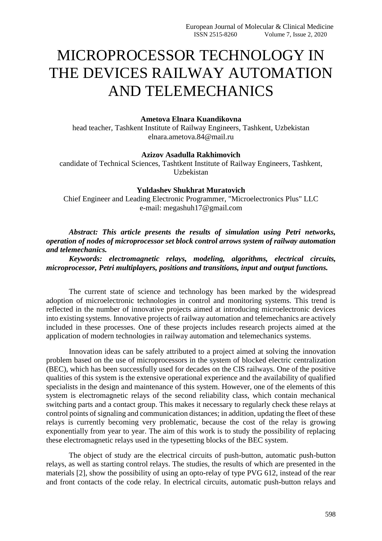# MICROPROCESSOR TECHNOLOGY IN THE DEVICES RAILWAY AUTOMATION AND TELEMECHANICS

# **Ametova Elnara Kuandikovna**

head teacher, Tashkent Institute of Railway Engineers, Tashkent, Uzbekistan [elnara.ametova.84@mail.ru](mailto:elnara.ametova.84@mail.ru)

### **Azizov Asadulla Rakhimovich**

candidate of Technical Sciences, Tashtkent Institute of Railway Engineers, Tashkent, Uzbekistan

# **Yuldashev Shukhrat Muratovich**

Chief Engineer and Leading Electronic Programmer, "Microelectronics Plus" LLC e-mail: megashuh17@gmail.com

*Abstract: This article presents the results of simulation using Petri networks, operation of nodes of microprocessor set block control arrows system of railway automation and telemechanics.*

*Keywords: electromagnetic relays, modeling, algorithms, electrical circuits, microprocessor, Petri multiplayers, positions and transitions, input and output functions.*

The current state of science and technology has been marked by the widespread adoption of microelectronic technologies in control and monitoring systems. This trend is reflected in the number of innovative projects aimed at introducing microelectronic devices into existing systems. Innovative projects of railway automation and telemechanics are actively included in these processes. One of these projects includes research projects aimed at the application of modern technologies in railway automation and telemechanics systems.

Innovation ideas can be safely attributed to a project aimed at solving the innovation problem based on the use of microprocessors in the system of blocked electric centralization (BEC), which has been successfully used for decades on the CIS railways. One of the positive qualities of this system is the extensive operational experience and the availability of qualified specialists in the design and maintenance of this system. However, one of the elements of this system is electromagnetic relays of the second reliability class, which contain mechanical switching parts and a contact group. This makes it necessary to regularly check these relays at control points of signaling and communication distances; in addition, updating the fleet of these relays is currently becoming very problematic, because the cost of the relay is growing exponentially from year to year. The aim of this work is to study the possibility of replacing these electromagnetic relays used in the typesetting blocks of the BEC system.

The object of study are the electrical circuits of push-button, automatic push-button relays, as well as starting control relays. The studies, the results of which are presented in the materials [2], show the possibility of using an opto-relay of type PVG 612, instead of the rear and front contacts of the code relay. In electrical circuits, automatic push-button relays and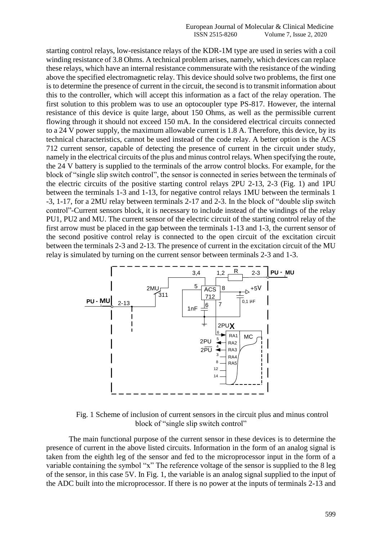starting control relays, low-resistance relays of the KDR-1M type are used in series with a coil winding resistance of 3.8 Ohms. A technical problem arises, namely, which devices can replace these relays, which have an internal resistance commensurate with the resistance of the winding above the specified electromagnetic relay. This device should solve two problems, the first one is to determine the presence of current in the circuit, the second is to transmit information about this to the controller, which will accept this information as a fact of the relay operation. The first solution to this problem was to use an optocoupler type PS-817. However, the internal resistance of this device is quite large, about 150 Ohms, as well as the permissible current flowing through it should not exceed 150 mA. In the considered electrical circuits connected to a 24 V power supply, the maximum allowable current is 1.8 A. Therefore, this device, by its technical characteristics, cannot be used instead of the code relay. A better option is the ACS 712 current sensor, capable of detecting the presence of current in the circuit under study, namely in the electrical circuits of the plus and minus control relays. When specifying the route, the 24 V battery is supplied to the terminals of the arrow control blocks. For example, for the block of "single slip switch control", the sensor is connected in series between the terminals of the electric circuits of the positive starting control relays 2PU 2-13, 2-3 (Fig. 1) and 1PU between the terminals 1-3 and 1-13, for negative control relays 1MU between the terminals 1 -3, 1-17, for a 2MU relay between terminals 2-17 and 2-3. In the block of "double slip switch control"-Current sensors block, it is necessary to include instead of the windings of the relay PU1, PU2 and МU. The current sensor of the electric circuit of the starting control relay of the first arrow must be placed in the gap between the terminals 1-13 and 1-3, the current sensor of the second positive control relay is connected to the open circuit of the excitation circuit between the terminals 2-3 and 2-13. The presence of current in the excitation circuit of the MU relay is simulated by turning on the current sensor between terminals 2-3 and 1-3.



Fig. 1 Scheme of inclusion of current sensors in the circuit plus and minus control block of "single slip switch control"

The main functional purpose of the current sensor in these devices is to determine the presence of current in the above listed circuits. Information in the form of an analog signal is taken from the eighth leg of the sensor and fed to the microprocessor input in the form of a variable containing the symbol "x" The reference voltage of the sensor is supplied to the 8 leg of the sensor, in this case 5V. In Fig. 1, the variable is an analog signal supplied to the input of the ADC built into the microprocessor. If there is no power at the inputs of terminals 2-13 and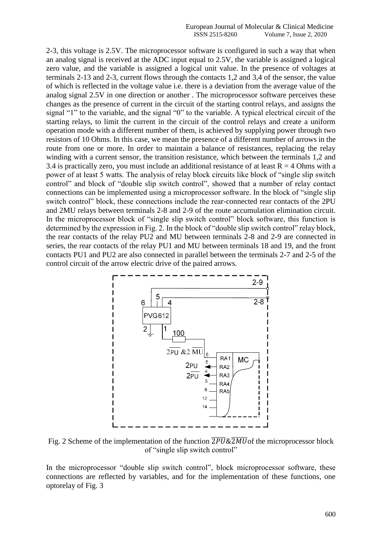2-3, this voltage is 2.5V. The microprocessor software is configured in such a way that when an analog signal is received at the ADC input equal to 2.5V, the variable is assigned a logical zero value, and the variable is assigned a logical unit value. In the presence of voltages at terminals 2-13 and 2-3, current flows through the contacts 1,2 and 3,4 of the sensor, the value of which is reflected in the voltage value i.e. there is a deviation from the average value of the analog signal 2.5V in one direction or another . The microprocessor software perceives these changes as the presence of current in the circuit of the starting control relays, and assigns the signal "1" to the variable, and the signal "0" to the variable. A typical electrical circuit of the starting relays, to limit the current in the circuit of the control relays and create a uniform operation mode with a different number of them, is achieved by supplying power through two resistors of 10 Ohms. In this case, we mean the presence of a different number of arrows in the route from one or more. In order to maintain a balance of resistances, replacing the relay winding with a current sensor, the transition resistance, which between the terminals 1,2 and 3.4 is practically zero, you must include an additional resistance of at least  $R = 4$  Ohms with a power of at least 5 watts. The analysis of relay block circuits like block of "single slip switch control" and block of "double slip switch control", showed that a number of relay contact connections can be implemented using a microprocessor software. In the block of "single slip switch control" block, these connections include the rear-connected rear contacts of the 2PU and 2MU relays between terminals 2-8 and 2-9 of the route accumulation elimination circuit. In the microprocessor block of "single slip switch control" block software, this function is determined by the expression in Fig. 2. In the block of "double slip switch control" relay block, the rear contacts of the relay PU2 and MU between terminals 2-8 and 2-9 are connected in series, the rear contacts of the relay PU1 and MU between terminals 18 and 19, and the front contacts PU1 and PU2 are also connected in parallel between the terminals 2-7 and 2-5 of the control circuit of the arrow electric drive of the paired arrows.



Fig. 2 Scheme of the implementation of the function  $\overline{2PU} \& \overline{2MU}$  of the microprocessor block of "single slip switch control"

In the microprocessor "double slip switch control", block microprocessor software, these connections are reflected by variables, and for the implementation of these functions, one optorelay of Fig. 3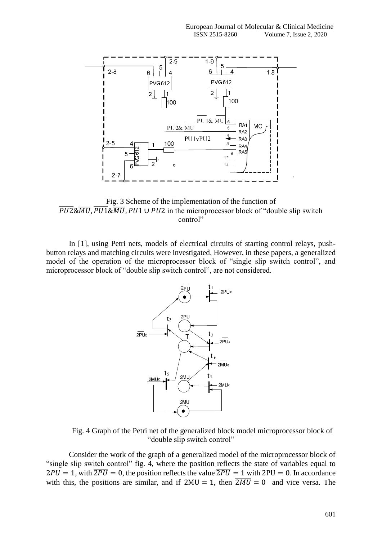

Fig. 3 Scheme of the implementation of the function of  $\overline{PU2\&MU}$ ,  $\overline{PU1\&MU}$ ,  $PU1 \cup PU2$  in the microprocessor block of "double slip switch control"

In [1], using Petri nets, models of electrical circuits of starting control relays, pushbutton relays and matching circuits were investigated. However, in these papers, a generalized model of the operation of the microprocessor block of "single slip switch control", and microprocessor block of "double slip switch control", are not considered.



Fig. 4 Graph of the Petri net of the generalized block model microprocessor block of "double slip switch control"

Consider the work of the graph of a generalized model of the microprocessor block of "single slip switch control" fig. 4, where the position reflects the state of variables equal to  $2PU = 1$ , with  $\overline{2PU} = 0$ , the position reflects the value  $\overline{2PU} = 1$  with  $2PU = 0$ . In accordance with this, the positions are similar, and if  $2MU = 1$ , then  $\overline{2MU} = 0$  and vice versa. The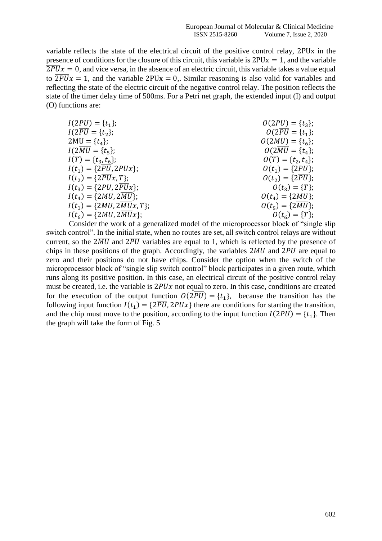variable reflects the state of the electrical circuit of the positive control relay, 2PUx in the presence of conditions for the closure of this circuit, this variable is  $2PUx = 1$ , and the variable  $\overline{2PU}x = 0$ , and vice versa, in the absence of an electric circuit, this variable takes a value equal to  $\overline{2PU}x = 1$ , and the variable 2PUx = 0.. Similar reasoning is also valid for variables and reflecting the state of the electric circuit of the negative control relay. The position reflects the state of the timer delay time of 500ms. For a Petri net graph, the extended input (I) and output (O) functions are:

| $I(2PU) = \{t_1\};$                     | $O(2PU) = \{t_3\};$           |
|-----------------------------------------|-------------------------------|
| $I(2\overline{PU} = \{t_2\};$           | $O(2\overline{PU} = \{t_1\};$ |
| $2MU = \{t_4\};$                        | $O(2MU) = \{t_6\};$           |
| $I(2\overline{MU} = \{t_5\};$           | $O(2\overline{MU} = \{t_4\};$ |
| $I(T) = \{t_3, t_6\};$                  | $O(T) = \{t_2, t_4\};$        |
| $I(t_1) = {2\overline{PU}}, 2PUx);$     | $O(t_1) = {2PU}$ ;            |
| $I(t_2) = {2\overline{PU}x, T};$        | $O(t_2) = {2\overline{PU}};$  |
| $I(t_3) = {2PU, 2PUx};$                 | $O(t_3) = {T};$               |
| $I(t_4) = \{2MU, 2\overline{MU}\};$     | $O(t_4) = \{2MU\};$           |
| $I(t_1) = \{2MU, 2\overline{MU}x, T\};$ | $O(t_5) = {2\overline{MU}};$  |
| $I(t_6) = \{2MU, 2\overline{MU}x\};$    | $O(t_6) = {T};$               |

Consider the work of a generalized model of the microprocessor block of "single slip switch control". In the initial state, when no routes are set, all switch control relays are without current, so the  $2\overline{MU}$  and  $2\overline{PU}$  variables are equal to 1, which is reflected by the presence of chips in these positions of the graph. Accordingly, the variables  $2MU$  and  $2PU$  are equal to zero and their positions do not have chips. Consider the option when the switch of the microprocessor block of "single slip switch control" block participates in a given route, which runs along its positive position. In this case, an electrical circuit of the positive control relay must be created, i.e. the variable is  $2PUx$  not equal to zero. In this case, conditions are created for the execution of the output function  $O(2\overline{PU}) = \{t_1\}$ , because the transition has the following input function  $I(t_1) = \{2\overline{PU}, 2PUx\}$  there are conditions for starting the transition, and the chip must move to the position, according to the input function  $I(2PU) = \{t_1\}$ . Then the graph will take the form of Fig. 5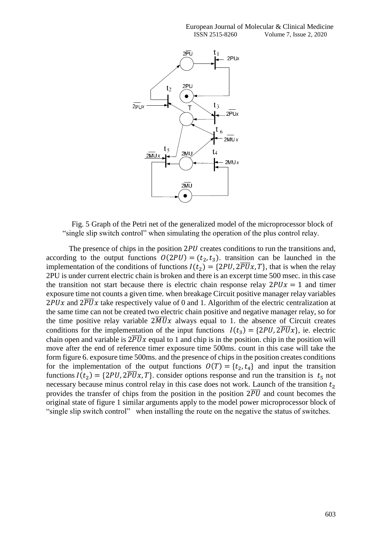

Fig. 5 Graph of the Petri net of the generalized model of the microprocessor block of "single slip switch control" when simulating the operation of the plus control relay.

The presence of chips in the position  $2PU$  creates conditions to run the transitions and, according to the output functions  $O(2PU) = (t_2, t_3)$ . transition can be launched in the implementation of the conditions of functions  $I(t_2) = \{2PU, 2\overline{PU}x, T\}$ , that is when the relay 2PU is under current electric chain is broken and there is an excerpt time 500 msec. in this case the transition not start because there is electric chain response relay  $2PUx = 1$  and timer exposure time not counts a given time. when breakage Circuit positive manager relay variables  $2PUx$  and  $2\overline{PU}x$  take respectively value of 0 and 1. Algorithm of the electric centralization at the same time can not be created two electric chain positive and negative manager relay, so for the time positive relay variable  $2\overline{M}Ux$  always equal to 1. the absence of Circuit creates conditions for the implementation of the input functions  $I(t_3) = {2PU, 2PUx}$ , ie. electric chain open and variable is  $2\overline{PU}x$  equal to 1 and chip is in the position. chip in the position will move after the end of reference timer exposure time 500ms. count in this case will take the form figure 6. exposure time 500ms. and the presence of chips in the position creates conditions for the implementation of the output functions  $O(T) = \{t_2, t_4\}$  and input the transition functions  $I(t_2) = \{2PU, 2PU, T\}$ . consider options response and run the transition is  $t_5$  not necessary because minus control relay in this case does not work. Launch of the transition  $t_2$ provides the transfer of chips from the position in the position  $2\overline{PU}$  and count becomes the original state of figure 1 similar arguments apply to the model power microprocessor block of "single slip switch control" when installing the route on the negative the status of switches.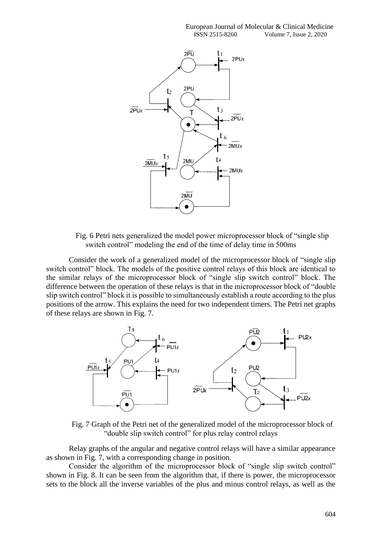

Fig. 6 Petri nets generalized the model power microprocessor block of "single slip switch control" modeling the end of the time of delay time in 500ms

Consider the work of a generalized model of the microprocessor block of "single slip switch control" block. The models of the positive control relays of this block are identical to the similar relays of the microprocessor block of "single slip switch control" block. The difference between the operation of these relays is that in the microprocessor block of "double slip switch control" block it is possible to simultaneously establish a route according to the plus positions of the arrow. This explains the need for two independent timers. The Petri net graphs of these relays are shown in Fig. 7.



Fig. 7 Graph of the Petri net of the generalized model of the microprocessor block of "double slip switch control" for plus relay control relays

Relay graphs of the angular and negative control relays will have a similar appearance as shown in Fig. 7, with a corresponding change in position.

Consider the algorithm of the microprocessor block of "single slip switch control" shown in Fig. 8. It can be seen from the algorithm that, if there is power, the microprocessor sets to the block all the inverse variables of the plus and minus control relays, as well as the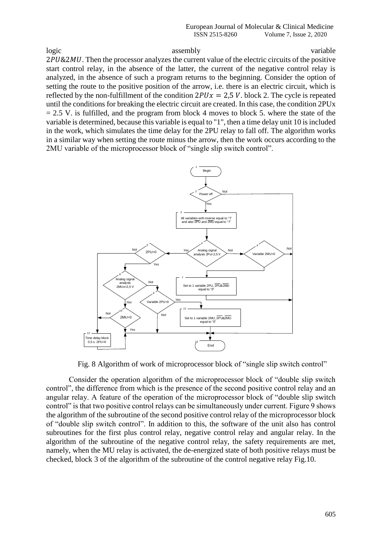logic variable assembly assembly variable 2PU&2MU. Then the processor analyzes the current value of the electric circuits of the positive start control relay, in the absence of the latter, the current of the negative control relay is analyzed, in the absence of such a program returns to the beginning. Consider the option of setting the route to the positive position of the arrow, i.e. there is an electric circuit, which is reflected by the non-fulfillment of the condition  $2PUx = 2.5 V$ . block 2. The cycle is repeated until the conditions for breaking the electric circuit are created. In this case, the condition 2PUx  $= 2.5$  V. is fulfilled, and the program from block 4 moves to block 5. where the state of the variable is determined, because this variable is equal to "1", then a time delay unit 10 is included in the work, which simulates the time delay for the 2PU relay to fall off. The algorithm works in a similar way when setting the route minus the arrow, then the work occurs according to the 2MU variable of the microprocessor block of "single slip switch control".



Fig. 8 Algorithm of work of microprocessor block of "single slip switch control"

Consider the operation algorithm of the microprocessor block of "double slip switch control", the difference from which is the presence of the second positive control relay and an angular relay. A feature of the operation of the microprocessor block of "double slip switch control" is that two positive control relays can be simultaneously under current. Figure 9 shows the algorithm of the subroutine of the second positive control relay of the microprocessor block of "double slip switch control". In addition to this, the software of the unit also has control subroutines for the first plus control relay, negative control relay and angular relay. In the algorithm of the subroutine of the negative control relay, the safety requirements are met, namely, when the MU relay is activated, the de-energized state of both positive relays must be checked, block 3 of the algorithm of the subroutine of the control negative relay Fig.10.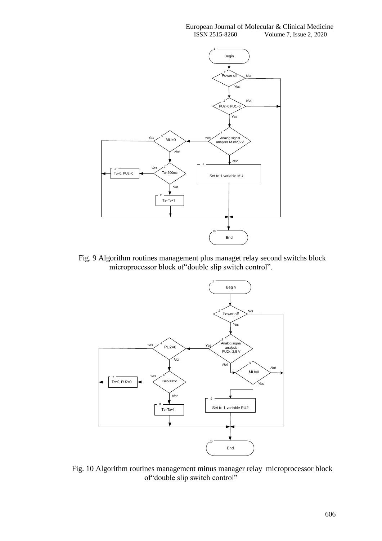#### European Journal of Molecular & Clinical Medicine ISSN 2515-8260 Volume 7, Issue 2, 2020



Fig. 9 Algorithm routines management plus managet relay second switchs block microprocessor block of"double slip switch control".



Fig. 10 Algorithm routines management minus manager relay microprocessor block of"double slip switch control"